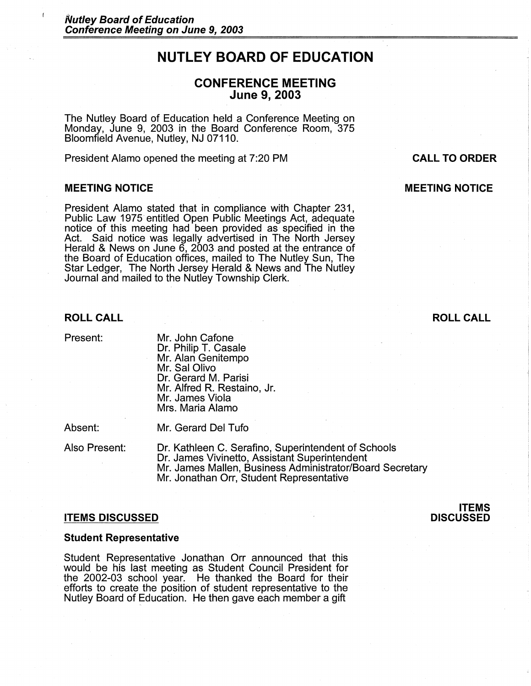# **NUTLEY BOARD OF EDUCATION**

## **CONFERENCE MEETING June 9, 2003**

The Nutley Board of Education held a Conference Meeting on Monday, June 9, 2003 in the Board Conference Room, 375 Bloomfield Avenue, Nutley, NJ 07110.

President Alamo opened the meeting at 7:20 PM

#### **MEETING NOTICE**

President Alamo stated that in compliance with Chapter 231 , Public Law 1975 entitled Open Public Meetings Act, adequate notice of this meeting had been provided as specified in the Act. Said notice was legally advertised in The North Jersey Herald & News on June 6, 2003 and posted at the entrance of the Board of Education offices, mailed to The Nutley Sun, The Star Ledger, The North Jersey Herald & News and The Nutley Journal and mailed to the Nutley Township Clerk.

### **ROLL CALL**

Present:

Mr. John Cafone Dr. Philip T. Casale Mr. Alan Genitempo Mr. Sal Olivo Dr. Gerard M. Parisi Mr. Alfred R. Restaino, Jr. Mr. James Viola Mrs. Maria Alamo

Absent:

Mr. Gerard Del Tufo

Also Present:

Dr. Kathleen C. Serafino, Superintendent of Schools Dr. James Vivinetto, Assistant Superintendent Mr. James Mallen, Business Administrator/Board Secretary Mr. Jonathan Orr, Student Representative

#### **ITEMS DISCUSSED**

#### **Student Representative**

Student Representative Jonathan Orr announced that this would be his last meeting as Student Council President for the 2002-03 school year. He thanked the Board for their efforts to create the position of student representative to the Nutley Board of Education. He then gave each member a gift

### **CALL TO ORDER**

## **MEETING NOTICE**

## **ROLL CALL**

#### **ITEMS DISCUSSED**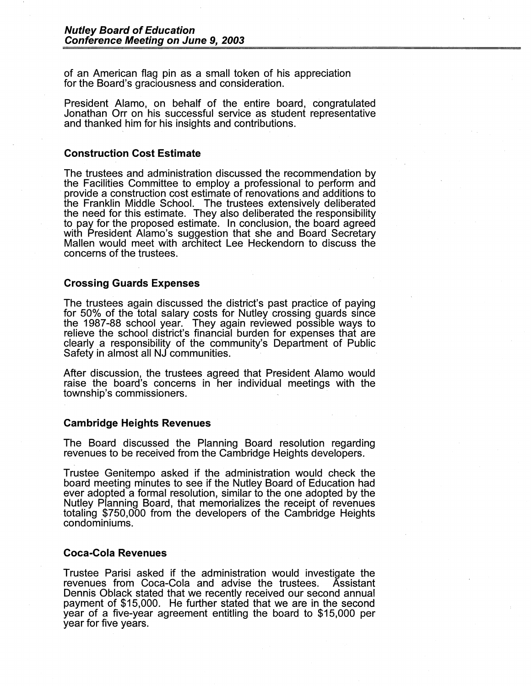of an American flag pin as a small token of his appreciation for the Board's graciousness and consideration.

President Alamo, on behalf of the entire board, congratulated Jonathan Orr on his successful service as student representative and thanked him for his insights and contributions.

### **Construction Cost Estimate**

The trustees and administration discussed the recommendation by the Facilities Committee to employ a professional to perform and <br>provide a construction cost estimate of renovations and additions to the Franklin Middle School. The trustees extensively deliberated the need for this estimate. They also deliberated the responsibility to pay for the proposed estimate. In conclusion, the board agreed with President Alamo's suggestion that she and Board Secretary Mallen would meet with architect Lee Heckendorn to discuss the concerns of the trustees.

#### **Crossing Guards Expenses**

The trustees again discussed the district's past practice of paying for 50% of the total salary costs for Nutley crossing guards since the 1987-88 school year. They again reviewed possible ways to relieve the school district's financial burden for expenses that are clearly a responsibility of the community's Department of Public Safety in almost all NJ communities.

After discussion, the trustees agreed that President Alamo would raise the board's concerns in her individual meetings with the township's commissioners.

#### **Cambridge Heights Revenues**

The Board discussed the Planning Board resolution regarding revenues to be received from the Cambridge Heights developers.

Trustee Genitempo asked if the administration would check the board meeting minutes to see if the Nutley Board of Education had ever adopted a formal resolution, similar to the one adopted by the Nutley Planning Board, that memorializes the receipt of revenues totaling \$750,000 from the developers of the Cambridge Heights condominiums.

### **Coca-Cola Revenues**

Trustee Parisi asked if the administration would investigate the revenues from Coca-Cola and advise the trustees. Assistant Dennis Oblack stated that we recently received our second annual payment of \$15,000. He further stated that we are in the second year of a five-year agreement entitling the board to \$15,000 per year for five years.